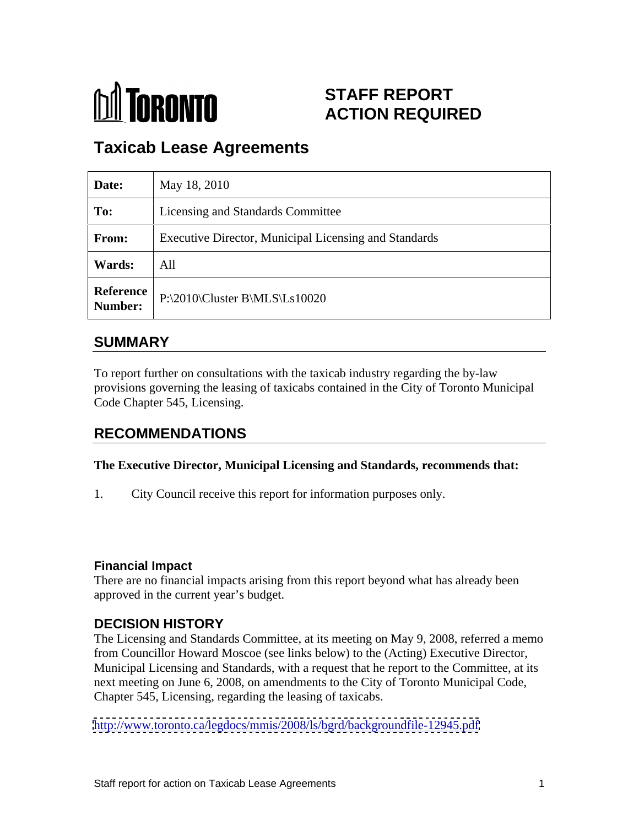

# **STAFF REPORT ACTION REQUIRED**

# **Taxicab Lease Agreements**

| Date:  | May 18, 2010                                                 |
|--------|--------------------------------------------------------------|
| To:    | Licensing and Standards Committee                            |
| From:  | <b>Executive Director, Municipal Licensing and Standards</b> |
| Wards: | All                                                          |
|        | Reference<br>P:\2010\Cluster B\MLS\Ls10020                   |

### **SUMMARY**

To report further on consultations with the taxicab industry regarding the by-law provisions governing the leasing of taxicabs contained in the City of Toronto Municipal Code Chapter 545, Licensing.

## **RECOMMENDATIONS**

#### **The Executive Director, Municipal Licensing and Standards, recommends that:**

1. City Council receive this report for information purposes only.

#### **Financial Impact**

There are no financial impacts arising from this report beyond what has already been approved in the current year's budget.

#### **DECISION HISTORY**

The Licensing and Standards Committee, at its meeting on May 9, 2008, referred a memo from Councillor Howard Moscoe (see links below) to the (Acting) Executive Director, Municipal Licensing and Standards, with a request that he report to the Committee, at its next meeting on June 6, 2008, on amendments to the City of Toronto Municipal Code, Chapter 545, Licensing, regarding the leasing of taxicabs.

<http://www.toronto.ca/legdocs/mmis/2008/ls/bgrd/backgroundfile-12945.pdf>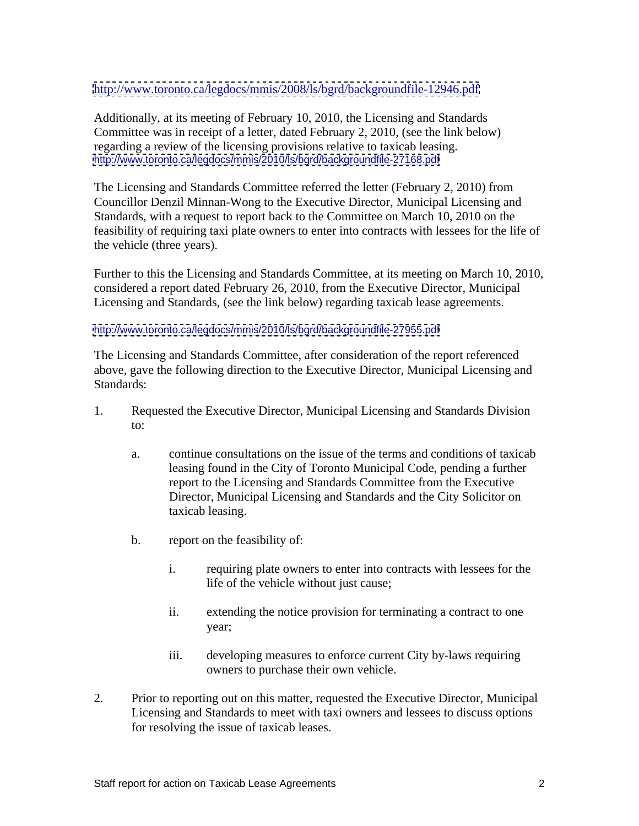#### <http://www.toronto.ca/legdocs/mmis/2008/ls/bgrd/backgroundfile-12946.pdf>

Additionally, at its meeting of February 10, 2010, the Licensing and Standards Committee was in receipt of a letter, dated February 2, 2010, (see the link below) regarding a review of the licensing provisions relative to taxicab leasing. <http://www.toronto.ca/legdocs/mmis/2010/ls/bgrd/backgroundfile-27168.pdf>

The Licensing and Standards Committee referred the letter (February 2, 2010) from Councillor Denzil Minnan-Wong to the Executive Director, Municipal Licensing and Standards, with a request to report back to the Committee on March 10, 2010 on the feasibility of requiring taxi plate owners to enter into contracts with lessees for the life of the vehicle (three years).

Further to this the Licensing and Standards Committee, at its meeting on March 10, 2010, considered a report dated February 26, 2010, from the Executive Director, Municipal Licensing and Standards, (see the link below) regarding taxicab lease agreements.

#### <http://www.toronto.ca/legdocs/mmis/2010/ls/bgrd/backgroundfile-27955.pdf>

The Licensing and Standards Committee, after consideration of the report referenced above, gave the following direction to the Executive Director, Municipal Licensing and Standards:

- 1. Requested the Executive Director, Municipal Licensing and Standards Division to:
	- a. continue consultations on the issue of the terms and conditions of taxicab leasing found in the City of Toronto Municipal Code, pending a further report to the Licensing and Standards Committee from the Executive Director, Municipal Licensing and Standards and the City Solicitor on taxicab leasing.
	- b. report on the feasibility of:
		- i. requiring plate owners to enter into contracts with lessees for the life of the vehicle without just cause;
		- ii. extending the notice provision for terminating a contract to one year;
		- iii. developing measures to enforce current City by-laws requiring owners to purchase their own vehicle.
- 2. Prior to reporting out on this matter, requested the Executive Director, Municipal Licensing and Standards to meet with taxi owners and lessees to discuss options for resolving the issue of taxicab leases.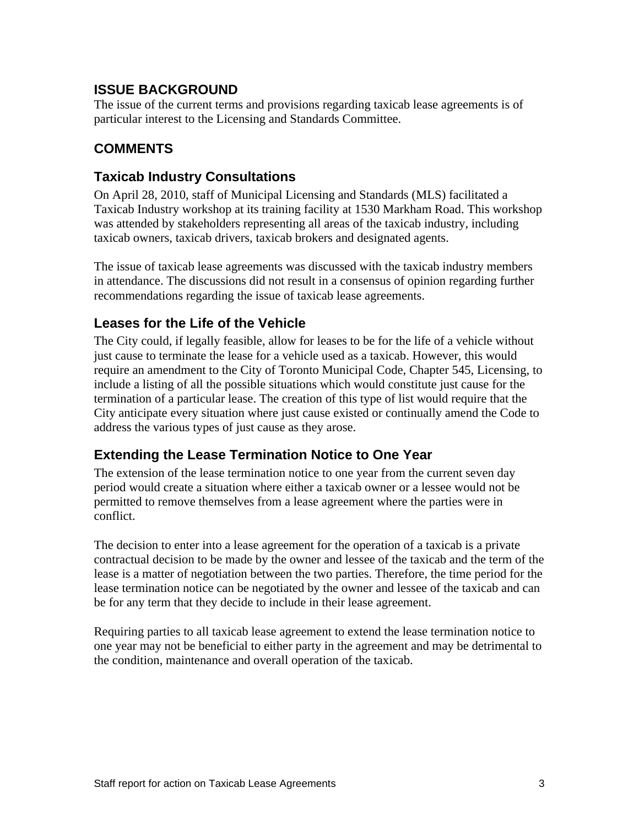### **ISSUE BACKGROUND**

The issue of the current terms and provisions regarding taxicab lease agreements is of particular interest to the Licensing and Standards Committee.

## **COMMENTS**

### **Taxicab Industry Consultations**

On April 28, 2010, staff of Municipal Licensing and Standards (MLS) facilitated a Taxicab Industry workshop at its training facility at 1530 Markham Road. This workshop was attended by stakeholders representing all areas of the taxicab industry, including taxicab owners, taxicab drivers, taxicab brokers and designated agents.

The issue of taxicab lease agreements was discussed with the taxicab industry members in attendance. The discussions did not result in a consensus of opinion regarding further recommendations regarding the issue of taxicab lease agreements.

### **Leases for the Life of the Vehicle**

The City could, if legally feasible, allow for leases to be for the life of a vehicle without just cause to terminate the lease for a vehicle used as a taxicab. However, this would require an amendment to the City of Toronto Municipal Code, Chapter 545, Licensing, to include a listing of all the possible situations which would constitute just cause for the termination of a particular lease. The creation of this type of list would require that the City anticipate every situation where just cause existed or continually amend the Code to address the various types of just cause as they arose.

## **Extending the Lease Termination Notice to One Year**

The extension of the lease termination notice to one year from the current seven day period would create a situation where either a taxicab owner or a lessee would not be permitted to remove themselves from a lease agreement where the parties were in conflict.

The decision to enter into a lease agreement for the operation of a taxicab is a private contractual decision to be made by the owner and lessee of the taxicab and the term of the lease is a matter of negotiation between the two parties. Therefore, the time period for the lease termination notice can be negotiated by the owner and lessee of the taxicab and can be for any term that they decide to include in their lease agreement.

Requiring parties to all taxicab lease agreement to extend the lease termination notice to one year may not be beneficial to either party in the agreement and may be detrimental to the condition, maintenance and overall operation of the taxicab.